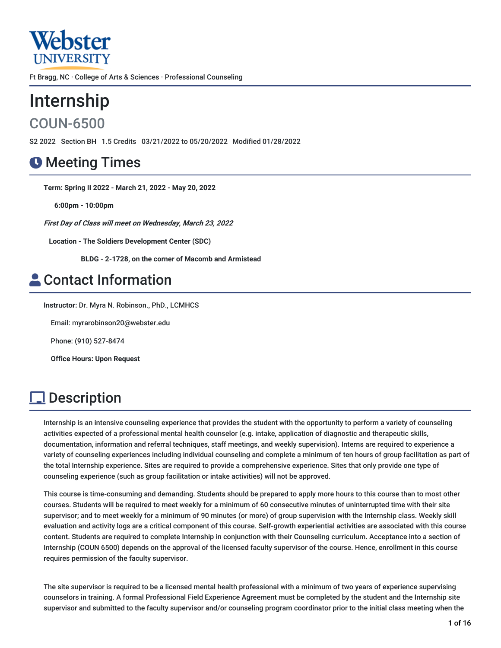

Ft Bragg, NC · College of Arts & Sciences · Professional Counseling

# Internship

COUN-6500

S2 2022 Section BH 1.5 Credits 03/21/2022 to 05/20/2022 Modified 01/28/2022

## **O** Meeting Times

**Term: Spring II 2022 - March 21, 2022 - May 20, 2022**

**6:00pm - 10:00pm**

**First Day of Class will meet on Wednesday, March 23, 2022**

**Location - The Soldiers Development Center (SDC)**

**BLDG - 2-1728, on the corner of Macomb and Armistead**

## **A** Contact Information

**Instructor:** Dr. Myra N. Robinson., PhD., LCMHCS

Email: myrarobinson20@webster.edu

Phone: (910) 527-8474

**Office Hours: Upon Request**

## **Description**

Internship is an intensive counseling experience that provides the student with the opportunity to perform a variety of counseling activities expected of a professional mental health counselor (e.g. intake, application of diagnostic and therapeutic skills, documentation, information and referral techniques, staff meetings, and weekly supervision). Interns are required to experience a variety of counseling experiences including individual counseling and complete a minimum of ten hours of group facilitation as part of the total Internship experience. Sites are required to provide a comprehensive experience. Sites that only provide one type of counseling experience (such as group facilitation or intake activities) will not be approved.

This course is time-consuming and demanding. Students should be prepared to apply more hours to this course than to most other courses. Students will be required to meet weekly for a minimum of 60 consecutive minutes of uninterrupted time with their site supervisor; and to meet weekly for a minimum of 90 minutes (or more) of group supervision with the Internship class. Weekly skill evaluation and activity logs are a critical component of this course. Self‐growth experiential activities are associated with this course content. Students are required to complete Internship in conjunction with their Counseling curriculum. Acceptance into a section of Internship (COUN 6500) depends on the approval of the licensed faculty supervisor of the course. Hence, enrollment in this course requires permission of the faculty supervisor.

The site supervisor is required to be a licensed mental health professional with a minimum of two years of experience supervising counselors in training. A formal Professional Field Experience Agreement must be completed by the student and the Internship site supervisor and submitted to the faculty supervisor and/or counseling program coordinator prior to the initial class meeting when the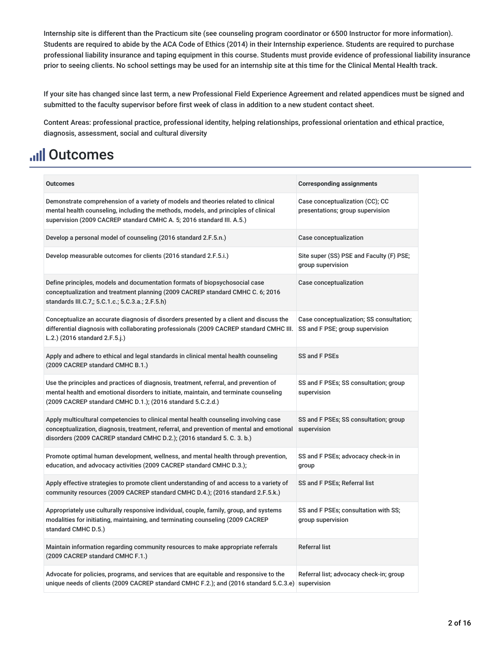Internship site is different than the Practicum site (see counseling program coordinator or 6500 Instructor for more information). Students are required to abide by the ACA Code of Ethics (2014) in their Internship experience. Students are required to purchase professional liability insurance and taping equipment in this course. Students must provide evidence of professional liability insurance prior to seeing clients. No school settings may be used for an internship site at this time for the Clinical Mental Health track.

If your site has changed since last term, a new Professional Field Experience Agreement and related appendices must be signed and submitted to the faculty supervisor before first week of class in addition to a new student contact sheet.

Content Areas: professional practice, professional identity, helping relationships, professional orientation and ethical practice, diagnosis, assessment, social and cultural diversity

## **Ill Outcomes**

| <b>Outcomes</b>                                                                                                                                                                                                                                              | <b>Corresponding assignments</b>                                            |
|--------------------------------------------------------------------------------------------------------------------------------------------------------------------------------------------------------------------------------------------------------------|-----------------------------------------------------------------------------|
|                                                                                                                                                                                                                                                              |                                                                             |
| Demonstrate comprehension of a variety of models and theories related to clinical<br>mental health counseling, including the methods, models, and principles of clinical<br>supervision (2009 CACREP standard CMHC A. 5; 2016 standard III. A.5.)            | Case conceptualization (CC); CC<br>presentations; group supervision         |
| Develop a personal model of counseling (2016 standard 2.F.5.n.)                                                                                                                                                                                              | Case conceptualization                                                      |
| Develop measurable outcomes for clients (2016 standard 2.F.5.i.)                                                                                                                                                                                             | Site super (SS) PSE and Faculty (F) PSE;<br>group supervision               |
| Define principles, models and documentation formats of biopsychosocial case<br>conceptualization and treatment planning (2009 CACREP standard CMHC C. 6; 2016<br>standards III.C.7,; 5.C.1.c.; 5.C.3.a.; 2.F.5.h)                                            | Case conceptualization                                                      |
| Conceptualize an accurate diagnosis of disorders presented by a client and discuss the<br>differential diagnosis with collaborating professionals (2009 CACREP standard CMHC III.<br>L.2.) (2016 standard 2.F.5.j.)                                          | Case conceptualization; SS consultation;<br>SS and F PSE; group supervision |
| Apply and adhere to ethical and legal standards in clinical mental health counseling<br>(2009 CACREP standard CMHC B.1.)                                                                                                                                     | SS and F PSEs                                                               |
| Use the principles and practices of diagnosis, treatment, referral, and prevention of<br>mental health and emotional disorders to initiate, maintain, and terminate counseling<br>(2009 CACREP standard CMHC D.1.); (2016 standard 5.C.2.d.)                 | SS and F PSEs; SS consultation; group<br>supervision                        |
| Apply multicultural competencies to clinical mental health counseling involving case<br>conceptualization, diagnosis, treatment, referral, and prevention of mental and emotional<br>disorders (2009 CACREP standard CMHC D.2.); (2016 standard 5. C. 3. b.) | SS and F PSEs; SS consultation; group<br>supervision                        |
| Promote optimal human development, wellness, and mental health through prevention,<br>education, and advocacy activities (2009 CACREP standard CMHC D.3.);                                                                                                   | SS and F PSEs; advocacy check-in in<br>group                                |
| Apply effective strategies to promote client understanding of and access to a variety of<br>community resources (2009 CACREP standard CMHC D.4.); (2016 standard 2.F.5.k.)                                                                                   | SS and F PSEs; Referral list                                                |
| Appropriately use culturally responsive individual, couple, family, group, and systems<br>modalities for initiating, maintaining, and terminating counseling (2009 CACREP)<br>standard CMHC D.5.)                                                            | SS and F PSEs; consultation with SS;<br>group supervision                   |
| Maintain information regarding community resources to make appropriate referrals<br>(2009 CACREP standard CMHC F.1.)                                                                                                                                         | <b>Referral list</b>                                                        |
| Advocate for policies, programs, and services that are equitable and responsive to the<br>unique needs of clients (2009 CACREP standard CMHC F.2.); and (2016 standard 5.C.3.e) supervision                                                                  | Referral list; advocacy check-in; group                                     |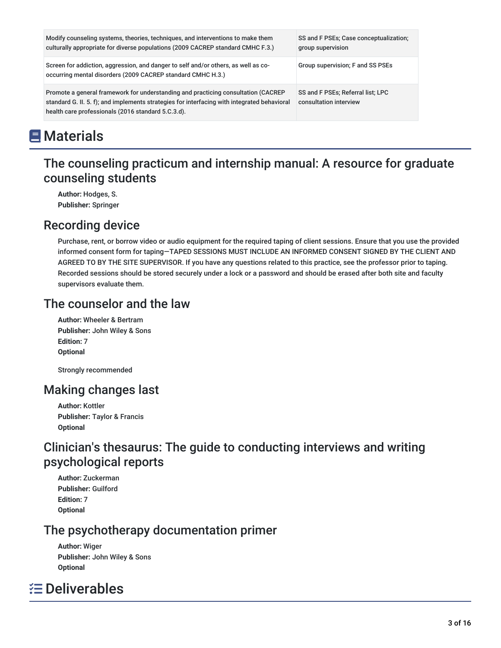| Modify counseling systems, theories, techniques, and interventions to make them<br>culturally appropriate for diverse populations (2009 CACREP standard CMHC F.3.)                                                                      | SS and F PSEs; Case conceptualization;<br>group supervision |
|-----------------------------------------------------------------------------------------------------------------------------------------------------------------------------------------------------------------------------------------|-------------------------------------------------------------|
| Screen for addiction, aggression, and danger to self and/or others, as well as co-<br>occurring mental disorders (2009 CACREP standard CMHC H.3.)                                                                                       | Group supervision; F and SS PSEs                            |
| Promote a general framework for understanding and practicing consultation (CACREP)<br>standard G. II. 5. f); and implements strategies for interfacing with integrated behavioral<br>health care professionals (2016 standard 5.C.3.d). | SS and F PSEs; Referral list; LPC<br>consultation interview |

## **E** Materials

## The counseling practicum and internship manual: A resource for graduate counseling students

**Author:** Hodges, S. **Publisher:** Springer

## Recording device

Purchase, rent, or borrow video or audio equipment for the required taping of client sessions. Ensure that you use the provided informed consent form for taping—TAPED SESSIONS MUST INCLUDE AN INFORMED CONSENT SIGNED BY THE CLIENT AND AGREED TO BY THE SITE SUPERVISOR. If you have any questions related to this practice, see the professor prior to taping. Recorded sessions should be stored securely under a lock or a password and should be erased after both site and faculty supervisors evaluate them.

## The counselor and the law

**Author:** Wheeler & Bertram **Publisher:** John Wiley & Sons **Edition:** 7 **Optional**

Strongly recommended

## Making changes last

**Author:** Kottler **Publisher:** Taylor & Francis **Optional**

## Clinician's thesaurus: The guide to conducting interviews and writing psychological reports

**Author:** Zuckerman **Publisher:** Guilford **Edition:** 7 **Optional**

## The psychotherapy documentation primer

**Author:** Wiger **Publisher:** John Wiley & Sons **Optional**

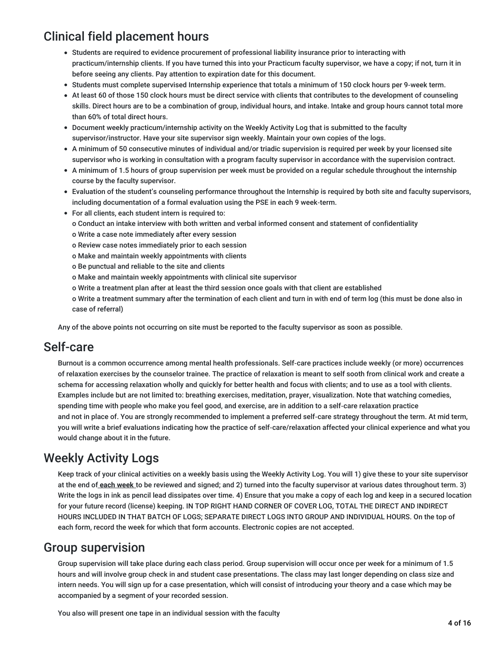## Clinical field placement hours

- Students are required to evidence procurement of professional liability insurance prior to interacting with practicum/internship clients. If you have turned this into your Practicum faculty supervisor, we have a copy; if not, turn it in before seeing any clients. Pay attention to expiration date for this document.
- Students must complete supervised Internship experience that totals a minimum of 150 clock hours per 9‐week term.
- At least 60 of those 150 clock hours must be direct service with clients that contributes to the development of counseling skills. Direct hours are to be a combination of group, individual hours, and intake. Intake and group hours cannot total more than 60% of total direct hours.
- Document weekly practicum/internship activity on the Weekly Activity Log that is submitted to the faculty supervisor/instructor. Have your site supervisor sign weekly. Maintain your own copies of the logs.
- A minimum of 50 consecutive minutes of individual and/or triadic supervision is required per week by your licensed site supervisor who is working in consultation with a program faculty supervisor in accordance with the supervision contract.
- A minimum of 1.5 hours of group supervision per week must be provided on a regular schedule throughout the internship course by the faculty supervisor.
- Evaluation of the student's counseling performance throughout the Internship is required by both site and faculty supervisors, including documentation of a formal evaluation using the PSE in each 9 week‐term.
- For all clients, each student intern is required to:
	- o Conduct an intake interview with both written and verbal informed consent and statement of confidentiality
	- o Write a case note immediately after every session
	- o Review case notes immediately prior to each session
	- o Make and maintain weekly appointments with clients
	- o Be punctual and reliable to the site and clients
	- o Make and maintain weekly appointments with clinical site supervisor
	- o Write a treatment plan after at least the third session once goals with that client are established

o Write a treatment summary after the termination of each client and turn in with end of term log (this must be done also in case of referral)

Any of the above points not occurring on site must be reported to the faculty supervisor as soon as possible.

### Self-care

Burnout is a common occurrence among mental health professionals. Self‐care practices include weekly (or more) occurrences of relaxation exercises by the counselor trainee. The practice of relaxation is meant to self sooth from clinical work and create a schema for accessing relaxation wholly and quickly for better health and focus with clients; and to use as a tool with clients. Examples include but are not limited to: breathing exercises, meditation, prayer, visualization. Note that watching comedies, spending time with people who make you feel good, and exercise, are in addition to a self-care relaxation practice and not in place of. You are strongly recommended to implement a preferred self-care strategy throughout the term. At mid term, you will write a brief evaluations indicating how the practice of self‐care/relaxation affected your clinical experience and what you would change about it in the future.

## Weekly Activity Logs

Keep track of your clinical activities on a weekly basis using the Weekly Activity Log. You will 1) give these to your site supervisor at the end of **each week** to be reviewed and signed; and 2) turned into the faculty supervisor at various dates throughout term. 3) Write the logs in ink as pencil lead dissipates over time. 4) Ensure that you make a copy of each log and keep in a secured location for your future record (license) keeping. IN TOP RIGHT HAND CORNER OF COVER LOG, TOTAL THE DIRECT AND INDIRECT HOURS INCLUDED IN THAT BATCH OF LOGS; SEPARATE DIRECT LOGS INTO GROUP AND INDIVIDUAL HOURS. On the top of each form, record the week for which that form accounts. Electronic copies are not accepted.

### Group supervision

Group supervision will take place during each class period. Group supervision will occur once per week for a minimum of 1.5 hours and will involve group check in and student case presentations. The class may last longer depending on class size and intern needs. You will sign up for a case presentation, which will consist of introducing your theory and a case which may be accompanied by a segment of your recorded session.

You also will present one tape in an individual session with the faculty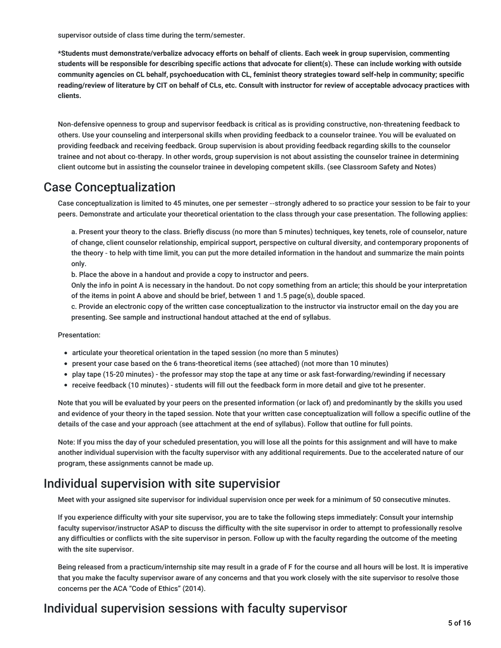supervisor outside of class time during the term/semester.

**\*Students must demonstrate/verbalize advocacy efforts on behalf of clients. Each week in group supervision, commenting** students will be responsible for describing specific actions that advocate for client(s). These can include working with outside community agencies on CL behalf, psychoeducation with CL, feminist theory strategies toward self-help in community; specific reading/review of literature by CIT on behalf of CLs, etc. Consult with instructor for review of acceptable advocacy practices with **clients.**

Non‐defensive openness to group and supervisor feedback is critical as is providing constructive, non‐threatening feedback to others. Use your counseling and interpersonal skills when providing feedback to a counselor trainee. You will be evaluated on providing feedback and receiving feedback. Group supervision is about providing feedback regarding skills to the counselor trainee and not about co-therapy. In other words, group supervision is not about assisting the counselor trainee in determining client outcome but in assisting the counselor trainee in developing competent skills. (see Classroom Safety and Notes)

### Case Conceptualization

Case conceptualization is limited to 45 minutes, one per semester ‐‐strongly adhered to so practice your session to be fair to your peers. Demonstrate and articulate your theoretical orientation to the class through your case presentation. The following applies:

a. Present your theory to the class. Briefly discuss (no more than 5 minutes) techniques, key tenets, role of counselor, nature of change, client counselor relationship, empirical support, perspective on cultural diversity, and contemporary proponents of the theory ‐ to help with time limit, you can put the more detailed information in the handout and summarize the main points only.

b. Place the above in a handout and provide a copy to instructor and peers.

Only the info in point A is necessary in the handout. Do not copy something from an article; this should be your interpretation of the items in point A above and should be brief, between 1 and 1.5 page(s), double spaced.

c. Provide an electronic copy of the written case conceptualization to the instructor via instructor email on the day you are presenting. See sample and instructional handout attached at the end of syllabus.

Presentation:

- articulate your theoretical orientation in the taped session (no more than 5 minutes)
- present your case based on the 6 trans-theoretical items (see attached) (not more than 10 minutes)
- play tape (15-20 minutes) the professor may stop the tape at any time or ask fast-forwarding/rewinding if necessary
- receive feedback (10 minutes) students will fill out the feedback form in more detail and give tot he presenter.

Note that you will be evaluated by your peers on the presented information (or lack of) and predominantly by the skills you used and evidence of your theory in the taped session. Note that your written case conceptualization will follow a specific outline of the details of the case and your approach (see attachment at the end of syllabus). Follow that outline for full points.

Note: If you miss the day of your scheduled presentation, you will lose all the points for this assignment and will have to make another individual supervision with the faculty supervisor with any additional requirements. Due to the accelerated nature of our program, these assignments cannot be made up.

### Individual supervision with site supervisior

Meet with your assigned site supervisor for individual supervision once per week for a minimum of 50 consecutive minutes.

If you experience difficulty with your site supervisor, you are to take the following steps immediately: Consult your internship faculty supervisor/instructor ASAP to discuss the difficulty with the site supervisor in order to attempt to professionally resolve any difficulties or conflicts with the site supervisor in person. Follow up with the faculty regarding the outcome of the meeting with the site supervisor.

Being released from a practicum/internship site may result in a grade of F for the course and all hours will be lost. It is imperative that you make the faculty supervisor aware of any concerns and that you work closely with the site supervisor to resolve those concerns per the ACA "Code of Ethics" (2014).

### Individual supervision sessions with faculty supervisor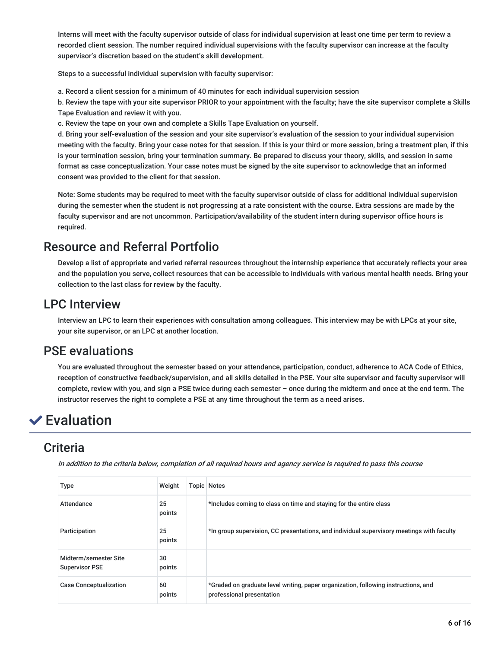Interns will meet with the faculty supervisor outside of class for individual supervision at least one time per term to review a recorded client session. The number required individual supervisions with the faculty supervisor can increase at the faculty supervisor's discretion based on the student's skill development.

Steps to a successful individual supervision with faculty supervisor:

a. Record a client session for a minimum of 40 minutes for each individual supervision session

b. Review the tape with your site supervisor PRIOR to your appointment with the faculty; have the site supervisor complete a Skills Tape Evaluation and review it with you.

c. Review the tape on your own and complete a Skills Tape Evaluation on yourself.

d. Bring your self‐evaluation of the session and your site supervisor's evaluation of the session to your individual supervision meeting with the faculty. Bring your case notes for that session. If this is your third or more session, bring a treatment plan, if this is your termination session, bring your termination summary. Be prepared to discuss your theory, skills, and session in same format as case conceptualization. Your case notes must be signed by the site supervisor to acknowledge that an informed consent was provided to the client for that session.

Note: Some students may be required to meet with the faculty supervisor outside of class for additional individual supervision during the semester when the student is not progressing at a rate consistent with the course. Extra sessions are made by the faculty supervisor and are not uncommon. Participation/availability of the student intern during supervisor office hours is required.

## Resource and Referral Portfolio

Develop a list of appropriate and varied referral resources throughout the internship experience that accurately reflects your area and the population you serve, collect resources that can be accessible to individuals with various mental health needs. Bring your collection to the last class for review by the faculty.

## LPC Interview

Interview an LPC to learn their experiences with consultation among colleagues. This interview may be with LPCs at your site, your site supervisor, or an LPC at another location.

## PSE evaluations

You are evaluated throughout the semester based on your attendance, participation, conduct, adherence to ACA Code of Ethics, reception of constructive feedback/supervision, and all skills detailed in the PSE. Your site supervisor and faculty supervisor will complete, review with you, and sign a PSE twice during each semester – once during the midterm and once at the end term. The instructor reserves the right to complete a PSE at any time throughout the term as a need arises.

## **✓**Evaluation

## **Criteria**

In addition to the criteria below, completion of all required hours and agency service is required to pass this course

| <b>Type</b>                                    | Weight       | <b>Topic Notes</b>                                                                                              |
|------------------------------------------------|--------------|-----------------------------------------------------------------------------------------------------------------|
| Attendance                                     | 25<br>points | *Includes coming to class on time and staying for the entire class                                              |
| Participation                                  | 25<br>points | *In group supervision, CC presentations, and individual supervisory meetings with faculty                       |
| Midterm/semester Site<br><b>Supervisor PSE</b> | 30<br>points |                                                                                                                 |
| <b>Case Conceptualization</b>                  | 60<br>points | *Graded on graduate level writing, paper organization, following instructions, and<br>professional presentation |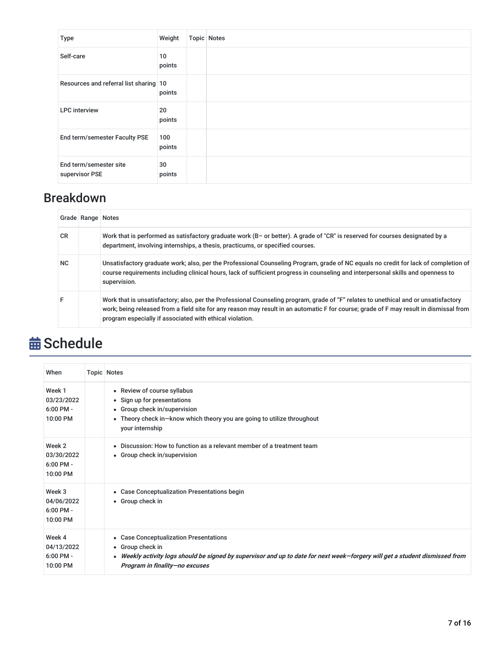| Type                                     | Weight        | <b>Topic Notes</b> |
|------------------------------------------|---------------|--------------------|
| Self-care                                | 10<br>points  |                    |
| Resources and referral list sharing 10   | points        |                    |
| <b>LPC</b> interview                     | 20<br>points  |                    |
| End term/semester Faculty PSE            | 100<br>points |                    |
| End term/semester site<br>supervisor PSE | 30<br>points  |                    |

## Breakdown

|           | Grade Range Notes |                                                                                                                                                                                                                                                                                                                                           |
|-----------|-------------------|-------------------------------------------------------------------------------------------------------------------------------------------------------------------------------------------------------------------------------------------------------------------------------------------------------------------------------------------|
| <b>CR</b> |                   | Work that is performed as satisfactory graduate work (B- or better). A grade of "CR" is reserved for courses designated by a<br>department, involving internships, a thesis, practicums, or specified courses.                                                                                                                            |
| NC.       |                   | Unsatisfactory graduate work; also, per the Professional Counseling Program, grade of NC equals no credit for lack of completion of<br>course requirements including clinical hours, lack of sufficient progress in counseling and interpersonal skills and openness to<br>supervision.                                                   |
| F         |                   | Work that is unsatisfactory; also, per the Professional Counseling program, grade of "F" relates to unethical and or unsatisfactory<br>work; being released from a field site for any reason may result in an automatic F for course; grade of F may result in dismissal from<br>program especially if associated with ethical violation. |

# **苗 Schedule**

| When                                            | <b>Topic Notes</b>                                                                                                                                                                                                           |
|-------------------------------------------------|------------------------------------------------------------------------------------------------------------------------------------------------------------------------------------------------------------------------------|
| Week 1<br>03/23/2022<br>$6:00$ PM -<br>10:00 PM | • Review of course syllabus<br>• Sign up for presentations<br>• Group check in/supervision<br>• Theory check in-know which theory you are going to utilize throughout<br>your internship                                     |
| Week 2<br>03/30/2022<br>$6:00$ PM -<br>10:00 PM | • Discussion: How to function as a relevant member of a treatment team<br>• Group check in/supervision                                                                                                                       |
| Week 3<br>04/06/2022<br>$6:00$ PM -<br>10:00 PM | • Case Conceptualization Presentations begin<br>• Group check in                                                                                                                                                             |
| Week 4<br>04/13/2022<br>$6:00$ PM -<br>10:00 PM | • Case Conceptualization Presentations<br>• Group check in<br>• Weekly activity logs should be signed by supervisor and up to date for next week–forgery will get a student dismissed from<br>Program in finality-no excuses |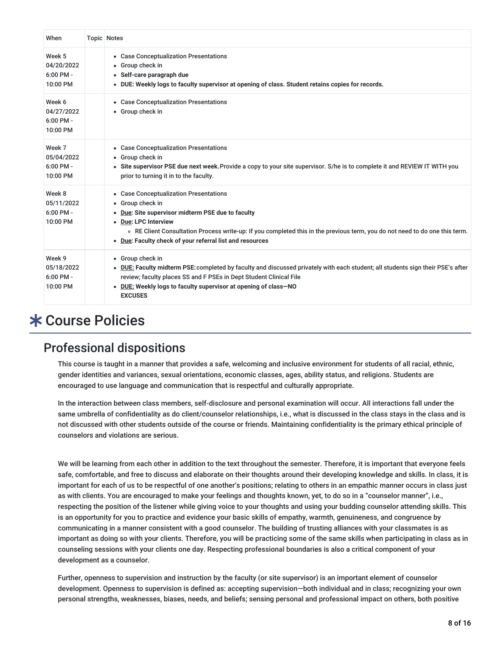| When                                            | <b>Topic Notes</b>                                                                                                                                                                                                                                                                                                                    |
|-------------------------------------------------|---------------------------------------------------------------------------------------------------------------------------------------------------------------------------------------------------------------------------------------------------------------------------------------------------------------------------------------|
| Week 5<br>04/20/2022<br>$6:00$ PM -<br>10:00 PM | • Case Conceptualization Presentations<br>• Group check in<br>• Self-care paragraph due<br>. DUE: Weekly logs to faculty supervisor at opening of class. Student retains copies for records.                                                                                                                                          |
| Week 6<br>04/27/2022<br>$6:00$ PM -<br>10:00 PM | • Case Conceptualization Presentations<br>• Group check in                                                                                                                                                                                                                                                                            |
| Week 7<br>05/04/2022<br>$6:00$ PM -<br>10:00 PM | • Case Conceptualization Presentations<br>• Group check in<br>• Site supervisor PSE due next week. Provide a copy to your site supervisor. S/he is to complete it and REVIEW IT WITH you<br>prior to turning it in to the faculty.                                                                                                    |
| Week 8<br>05/11/2022<br>$6:00$ PM -<br>10:00 PM | • Case Conceptualization Presentations<br>• Group check in<br>Due: Site supervisor midterm PSE due to faculty<br>٠<br>• Due: LPC Interview<br>○ RE Client Consultation Process write-up: If you completed this in the previous term, you do not need to do one this term.<br>• Due: Faculty check of your referral list and resources |
| Week 9<br>05/18/2022<br>$6:00$ PM -<br>10:00 PM | • Group check in<br>• DUE: Faculty midterm PSE: completed by faculty and discussed privately with each student; all students sign their PSE's after<br>review; faculty places SS and F PSEs in Dept Student Clinical File<br>. DUE: Weekly logs to faculty supervisor at opening of class-NO<br><b>EXCUSES</b>                        |

## Course Policies

### Professional dispositions

This course is taught in a manner that provides a safe, welcoming and inclusive environment for students of all racial, ethnic, gender identities and variances, sexual orientations, economic classes, ages, ability status, and religions. Students are encouraged to use language and communication that is respectful and culturally appropriate.

In the interaction between class members, self‐disclosure and personal examination will occur. All interactions fall under the same umbrella of confidentiality as do client/counselor relationships, i.e., what is discussed in the class stays in the class and is not discussed with other students outside of the course or friends. Maintaining confidentiality is the primary ethical principle of counselors and violations are serious.

We will be learning from each other in addition to the text throughout the semester. Therefore, it is important that everyone feels safe, comfortable, and free to discuss and elaborate on their thoughts around their developing knowledge and skills. In class, it is important for each of us to be respectful of one another's positions; relating to others in an empathic manner occurs in class just as with clients. You are encouraged to make your feelings and thoughts known, yet, to do so in a "counselor manner", i.e., respecting the position of the listener while giving voice to your thoughts and using your budding counselor attending skills. This is an opportunity for you to practice and evidence your basic skills of empathy, warmth, genuineness, and congruence by communicating in a manner consistent with a good counselor. The building of trusting alliances with your classmates is as important as doing so with your clients. Therefore, you will be practicing some of the same skills when participating in class as in counseling sessions with your clients one day. Respecting professional boundaries is also a critical component of your development as a counselor.

Further, openness to supervision and instruction by the faculty (or site supervisor) is an important element of counselor development. Openness to supervision is defined as: accepting supervision—both individual and in class; recognizing your own personal strengths, weaknesses, biases, needs, and beliefs; sensing personal and professional impact on others, both positive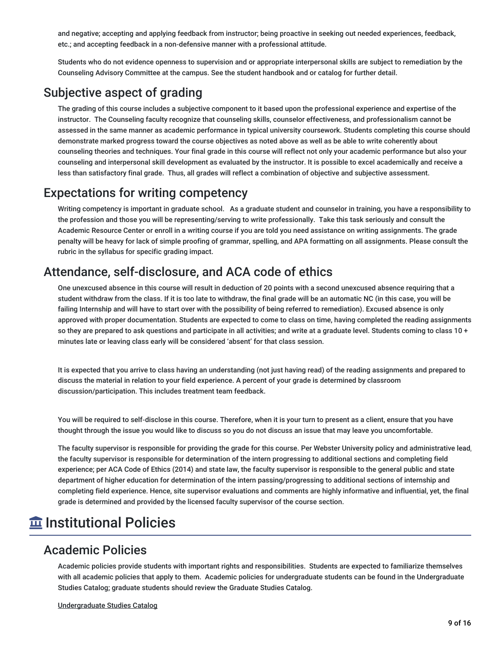and negative; accepting and applying feedback from instructor; being proactive in seeking out needed experiences, feedback, etc.; and accepting feedback in a non‐defensive manner with a professional attitude.

Students who do not evidence openness to supervision and or appropriate interpersonal skills are subject to remediation by the Counseling Advisory Committee at the campus. See the student handbook and or catalog for further detail.

## Subjective aspect of grading

The grading of this course includes a subjective component to it based upon the professional experience and expertise of the instructor. The Counseling faculty recognize that counseling skills, counselor effectiveness, and professionalism cannot be assessed in the same manner as academic performance in typical university coursework. Students completing this course should demonstrate marked progress toward the course objectives as noted above as well as be able to write coherently about counseling theories and techniques. Your final grade in this course will reflect not only your academic performance but also your counseling and interpersonal skill development as evaluated by the instructor. It is possible to excel academically and receive a less than satisfactory final grade. Thus, all grades will reflect a combination of objective and subjective assessment.

## Expectations for writing competency

Writing competency is important in graduate school. As a graduate student and counselor in training, you have a responsibility to the profession and those you will be representing/serving to write professionally. Take this task seriously and consult the Academic Resource Center or enroll in a writing course if you are told you need assistance on writing assignments. The grade penalty will be heavy for lack of simple proofing of grammar, spelling, and APA formatting on all assignments. Please consult the rubric in the syllabus for specific grading impact.

### Attendance, self-disclosure, and ACA code of ethics

One unexcused absence in this course will result in deduction of 20 points with a second unexcused absence requiring that a student withdraw from the class. If it is too late to withdraw, the final grade will be an automatic NC (in this case, you will be failing Internship and will have to start over with the possibility of being referred to remediation). Excused absence is only approved with proper documentation. Students are expected to come to class on time, having completed the reading assignments so they are prepared to ask questions and participate in all activities; and write at a graduate level. Students coming to class 10 + minutes late or leaving class early will be considered 'absent' for that class session.

It is expected that you arrive to class having an understanding (not just having read) of the reading assignments and prepared to discuss the material in relation to your field experience. A percent of your grade is determined by classroom discussion/participation. This includes treatment team feedback.

You will be required to self-disclose in this course. Therefore, when it is your turn to present as a client, ensure that you have thought through the issue you would like to discuss so you do not discuss an issue that may leave you uncomfortable.

The faculty supervisor is responsible for providing the grade for this course. Per Webster University policy and administrative lead, the faculty supervisor is responsible for determination of the intern progressing to additional sections and completing field experience; per ACA Code of Ethics (2014) and state law, the faculty supervisor is responsible to the general public and state department of higher education for determination of the intern passing/progressing to additional sections of internship and completing field experience. Hence, site supervisor evaluations and comments are highly informative and influential, yet, the final grade is determined and provided by the licensed faculty supervisor of the course section.

## **m** Institutional Policies

### Academic Policies

Academic policies provide students with important rights and responsibilities. Students are expected to familiarize themselves with all academic policies that apply to them. Academic policies for undergraduate students can be found in the Undergraduate Studies Catalog; graduate students should review the Graduate Studies Catalog.

Undergraduate Studies Catalog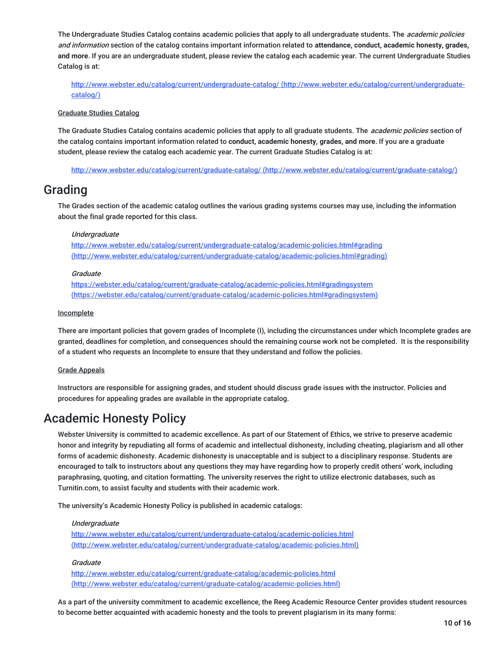The Undergraduate Studies Catalog contains academic policies that apply to all undergraduate students. The *academic policies* and information section of the catalog contains important information related to **attendance, conduct, academic honesty, grades, and more**. If you are an undergraduate student, please review the catalog each academic year. The current Undergraduate Studies Catalog is at:

<http://www.webster.edu/catalog/current/undergraduate-catalog/> (http://www.webster.edu/catalog/current/undergraduatecatalog/)

#### Graduate Studies Catalog

The Graduate Studies Catalog contains academic policies that apply to all graduate students. The *academic policies* section of the catalog contains important information related to **conduct, academic honesty, grades, and more**. If you are a graduate student, please review the catalog each academic year. The current Graduate Studies Catalog is at:

http://www.webster.edu/catalog/current/graduate-catalog/ [\(http://www.webster.edu/catalog/current/graduate-catalog/\)](http://www.webster.edu/catalog/current/graduate-catalog/)

### Grading

The Grades section of the academic catalog outlines the various grading systems courses may use, including the information about the final grade reported for this class.

#### Undergraduate

<http://www.webster.edu/catalog/current/undergraduate-catalog/academic-policies.html#grading> (http://www.webster.edu/catalog/current/undergraduate-catalog/academic-policies.html#grading)

#### Graduate

<https://webster.edu/catalog/current/graduate-catalog/academic-policies.html#gradingsystem> (https://webster.edu/catalog/current/graduate-catalog/academic-policies.html#gradingsystem)

#### **Incomplete**

There are important policies that govern grades of Incomplete (I), including the circumstances under which Incomplete grades are granted, deadlines for completion, and consequences should the remaining course work not be completed. It is the responsibility of a student who requests an Incomplete to ensure that they understand and follow the policies.

#### Grade Appeals

Instructors are responsible for assigning grades, and student should discuss grade issues with the instructor. Policies and procedures for appealing grades are available in the appropriate catalog.

### Academic Honesty Policy

Webster University is committed to academic excellence. As part of our Statement of Ethics, we strive to preserve academic honor and integrity by repudiating all forms of academic and intellectual dishonesty, including cheating, plagiarism and all other forms of academic dishonesty. Academic dishonesty is unacceptable and is subject to a disciplinary response. Students are encouraged to talk to instructors about any questions they may have regarding how to properly credit others' work, including paraphrasing, quoting, and citation formatting. The university reserves the right to utilize electronic databases, such as Turnitin.com, to assist faculty and students with their academic work.

The university's Academic Honesty Policy is published in academic catalogs:

#### Undergraduate

<http://www.webster.edu/catalog/current/undergraduate-catalog/academic-policies.html> (http://www.webster.edu/catalog/current/undergraduate-catalog/academic-policies.html)

#### **Graduate**

<http://www.webster.edu/catalog/current/graduate-catalog/academic-policies.html> (http://www.webster.edu/catalog/current/graduate-catalog/academic-policies.html)

As a part of the university commitment to academic excellence, the Reeg Academic Resource Center provides student resources to become better acquainted with academic honesty and the tools to prevent plagiarism in its many forms: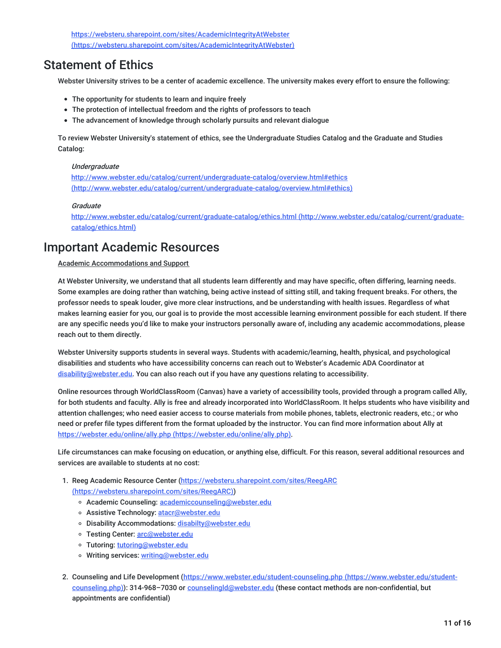https://websteru.sharepoint.com/sites/AcademicIntegrityAtWebster [\(https://websteru.sharepoint.com/sites/AcademicIntegrityAtWebster\)](https://websteru.sharepoint.com/sites/AcademicIntegrityAtWebster)

## Statement of Ethics

Webster University strives to be a center of academic excellence. The university makes every effort to ensure the following:

- The opportunity for students to learn and inquire freely
- The protection of intellectual freedom and the rights of professors to teach
- The advancement of knowledge through scholarly pursuits and relevant dialogue

To review Webster University's statement of ethics, see the Undergraduate Studies Catalog and the Graduate and Studies Catalog:

#### **Undergraduate**

http://www.webster.edu/catalog/current/undergraduate-catalog/overview.html#ethics [\(http://www.webster.edu/catalog/current/undergraduate-catalog/overview.html#ethics\)](http://www.webster.edu/catalog/current/undergraduate-catalog/overview.html#ethics)

#### Graduate

<http://www.webster.edu/catalog/current/graduate-catalog/ethics.html> (http://www.webster.edu/catalog/current/graduatecatalog/ethics.html)

### Important Academic Resources

#### Academic Accommodations and Support

At Webster University, we understand that all students learn differently and may have specific, often differing, learning needs. Some examples are doing rather than watching, being active instead of sitting still, and taking frequent breaks. For others, the professor needs to speak louder, give more clear instructions, and be understanding with health issues. Regardless of what makes learning easier for you, our goal is to provide the most accessible learning environment possible for each student. If there are any specific needs you'd like to make your instructors personally aware of, including any academic accommodations, please reach out to them directly.

Webster University supports students in several ways. Students with academic/learning, health, physical, and psychological disabilities and students who have accessibility concerns can reach out to Webster's Academic ADA Coordinator at [disability@webster.edu](mailto:disability@webster.edu). You can also reach out if you have any questions relating to accessibility.

Online resources through WorldClassRoom (Canvas) have a variety of accessibility tools, provided through a program called Ally, for both students and faculty. Ally is free and already incorporated into WorldClassRoom. It helps students who have visibility and attention challenges; who need easier access to course materials from mobile phones, tablets, electronic readers, etc.; or who need or prefer file types different from the format uploaded by the instructor. You can find more information about Ally at https://webster.edu/online/ally.php [\(https://webster.edu/online/ally.php\)](https://webster.edu/online/ally.php).

Life circumstances can make focusing on education, or anything else, difficult. For this reason, several additional resources and services are available to students at no cost:

- 1. Reeg Academic Resource Center [\(https://websteru.sharepoint.com/sites/ReegARC](https://websteru.sharepoint.com/sites/ReegARC) (https://websteru.sharepoint.com/sites/ReegARC))
	- o Academic Counseling: [academiccounseling@webster.edu](mailto:academiccounseling@webster.edu)
	- o Assistive Technology: [atacr@webster.edu](mailto:atacr@webster.edu)
	- o Disability Accommodations: [disabilty@webster.edu](mailto:disabilty@webster.edu)
	- o Testing Center: [arc@webster.edu](mailto:arc@webster.edu)
	- o Tutoring: [tutoring@webster.edu](mailto:tutoring@webster.edu)
	- o Writing services: [writing@webster.edu](mailto:writing@webster.edu)
- 2. Counseling and Life Development [\(https://www.webster.edu/student-counseling.php](https://www.webster.edu/student-counseling.php) (https://www.webster.edu/studentcounseling.php)): 314-968-7030 or counselingId@webster.edu (these contact methods are non-confidential, but appointments are confidential)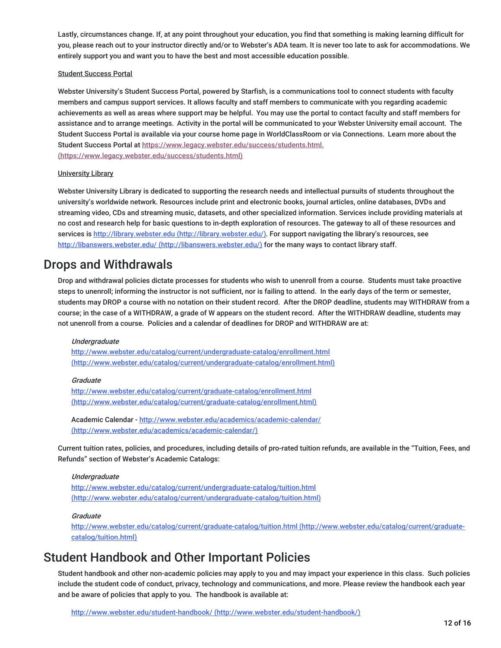Lastly, circumstances change. If, at any point throughout your education, you find that something is making learning difficult for you, please reach out to your instructor directly and/or to Webster's ADA team. It is never too late to ask for accommodations. We entirely support you and want you to have the best and most accessible education possible.

#### Student Success Portal

Webster University's Student Success Portal, powered by Starfish, is a communications tool to connect students with faculty members and campus support services. It allows faculty and staff members to communicate with you regarding academic achievements as well as areas where support may be helpful. You may use the portal to contact faculty and staff members for assistance and to arrange meetings. Activity in the portal will be communicated to your Webster University email account. The Student Success Portal is available via your course home page in WorldClassRoom or via Connections. Learn more about the Student Success Portal at https://www.legacy.webster.edu/success/students.html. [\(https://www.legacy.webster.edu/success/students.html\)](https://www.legacy.webster.edu/success/students.html)

#### University Library

Webster University Library is dedicated to supporting the research needs and intellectual pursuits of students throughout the university's worldwide network. Resources include print and electronic books, journal articles, online databases, DVDs and streaming video, CDs and streaming music, datasets, and other specialized information. Services include providing materials at no cost and research help for basic questions to in-depth exploration of resources. The gateway to all of these resources and services is http://library.webster.edu [\(http://library.webster.edu/\)](http://library.webster.edu/). For support navigating the library's resources, see http://libanswers.webster.edu/ [\(http://libanswers.webster.edu/\)](http://libanswers.webster.edu/) for the many ways to contact library staff.

### Drops and Withdrawals

Drop and withdrawal policies dictate processes for students who wish to unenroll from a course. Students must take proactive steps to unenroll; informing the instructor is not sufficient, nor is failing to attend. In the early days of the term or semester, students may DROP a course with no notation on their student record. After the DROP deadline, students may WITHDRAW from a course; in the case of a WITHDRAW, a grade of W appears on the student record. After the WITHDRAW deadline, students may not unenroll from a course. Policies and a calendar of deadlines for DROP and WITHDRAW are at:

#### **Undergraduate**

<http://www.webster.edu/catalog/current/undergraduate-catalog/enrollment.html> (http://www.webster.edu/catalog/current/undergraduate-catalog/enrollment.html)

#### Graduate

<http://www.webster.edu/catalog/current/graduate-catalog/enrollment.html> (http://www.webster.edu/catalog/current/graduate-catalog/enrollment.html)

Academic Calendar - http://www.webster.edu/academics/academic-calendar/ [\(http://www.webster.edu/academics/academic-calendar/\)](http://www.webster.edu/academics/academic-calendar/)

Current tuition rates, policies, and procedures, including details of pro-rated tuition refunds, are available in the "Tuition, Fees, and Refunds" section of Webster's Academic Catalogs:

#### Undergraduate

http://www.webster.edu/catalog/current/undergraduate-catalog/tuition.html [\(http://www.webster.edu/catalog/current/undergraduate-catalog/tuition.html\)](http://www.webster.edu/catalog/current/undergraduate-catalog/tuition.html)

#### **Graduate**

<http://www.webster.edu/catalog/current/graduate-catalog/tuition.html> (http://www.webster.edu/catalog/current/graduatecatalog/tuition.html)

### Student Handbook and Other Important Policies

Student handbook and other non-academic policies may apply to you and may impact your experience in this class. Such policies include the student code of conduct, privacy, technology and communications, and more. Please review the handbook each year and be aware of policies that apply to you. The handbook is available at: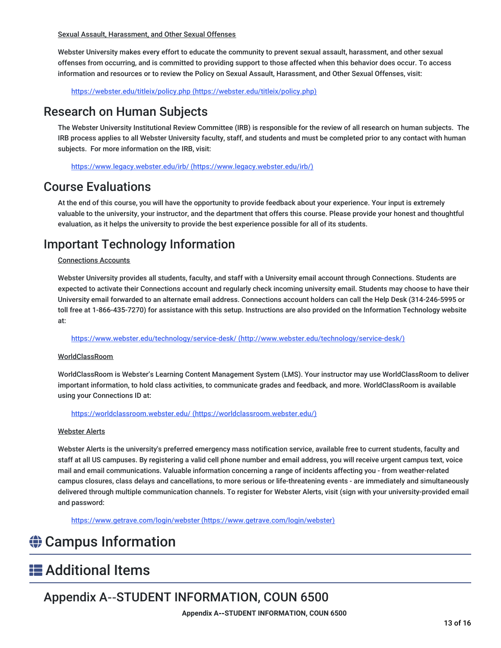Sexual Assault, Harassment, and Other Sexual Offenses

Webster University makes every effort to educate the community to prevent sexual assault, harassment, and other sexual offenses from occurring, and is committed to providing support to those affected when this behavior does occur. To access information and resources or to review the Policy on Sexual Assault, Harassment, and Other Sexual Offenses, visit:

https://webster.edu/titleix/policy.php [\(https://webster.edu/titleix/policy.php\)](https://webster.edu/titleix/policy.php)

## Research on Human Subjects

The Webster University Institutional Review Committee (IRB) is responsible for the review of all research on human subjects. The IRB process applies to all Webster University faculty, staff, and students and must be completed prior to any contact with human subjects. For more information on the IRB, visit:

https://www.legacy.webster.edu/irb/ [\(https://www.legacy.webster.edu/irb/\)](https://www.legacy.webster.edu/irb/)

## Course Evaluations

At the end of this course, you will have the opportunity to provide feedback about your experience. Your input is extremely valuable to the university, your instructor, and the department that offers this course. Please provide your honest and thoughtful evaluation, as it helps the university to provide the best experience possible for all of its students.

## Important Technology Information

#### Connections Accounts

Webster University provides all students, faculty, and staff with a University email account through Connections. Students are expected to activate their Connections account and regularly check incoming university email. Students may choose to have their University email forwarded to an alternate email address. Connections account holders can call the Help Desk (314-246-5995 or toll free at 1-866-435-7270) for assistance with this setup. Instructions are also provided on the Information Technology website at:

https://www.webster.edu/technology/service-desk/ [\(http://www.webster.edu/technology/service-desk/\)](http://www.webster.edu/technology/service-desk/)

#### WorldClassRoom

WorldClassRoom is Webster's Learning Content Management System (LMS). Your instructor may use WorldClassRoom to deliver important information, to hold class activities, to communicate grades and feedback, and more. WorldClassRoom is available using your Connections ID at:

https://worldclassroom.webster.edu/ [\(https://worldclassroom.webster.edu/\)](https://worldclassroom.webster.edu/)

#### Webster Alerts

Webster Alerts is the university's preferred emergency mass notification service, available free to current students, faculty and staff at all US campuses. By registering a valid cell phone number and email address, you will receive urgent campus text, voice mail and email communications. Valuable information concerning a range of incidents affecting you - from weather-related campus closures, class delays and cancellations, to more serious or life-threatening events - are immediately and simultaneously delivered through multiple communication channels. To register for Webster Alerts, visit (sign with your university-provided email and password:

https://www.getrave.com/login/webster [\(https://www.getrave.com/login/webster\)](https://www.getrave.com/login/webster)

## **♦ Campus Information**

## **E** Additional Items

## Appendix A‐‐STUDENT INFORMATION, COUN 6500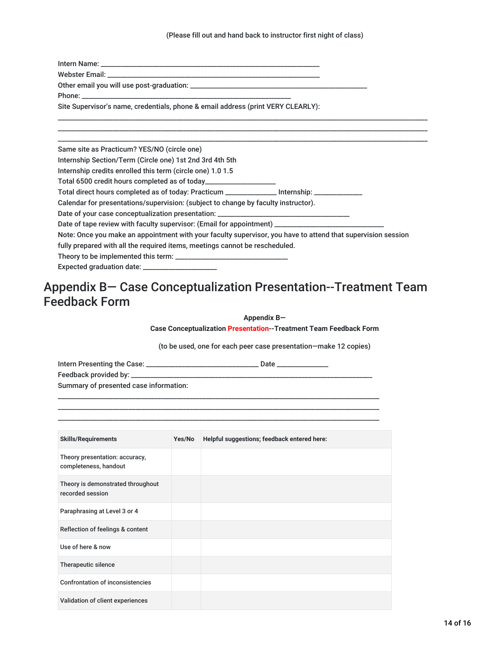(Please fill out and hand back to instructor first night of class)

| Site Supervisor's name, credentials, phone & email address (print VERY CLEARLY):                             |
|--------------------------------------------------------------------------------------------------------------|
|                                                                                                              |
| Same site as Practicum? YES/NO (circle one)                                                                  |
| Internship Section/Term (Circle one) 1st 2nd 3rd 4th 5th                                                     |
| Internship credits enrolled this term (circle one) 1.0 1.5                                                   |
| Total 6500 credit hours completed as of today_____________________                                           |
| Total direct hours completed as of today: Practicum _______________ Internship: ______________               |
| Calendar for presentations/supervision: (subject to change by faculty instructor).                           |
|                                                                                                              |
| Date of tape review with faculty supervisor: (Email for appointment) ______________________________          |
| Note: Once you make an appointment with your faculty supervisor, you have to attend that supervision session |
| fully prepared with all the required items, meetings cannot be rescheduled.                                  |
|                                                                                                              |
| Expected graduation date: _______________________                                                            |

## Appendix B— Case Conceptualization Presentation--Treatment Team Feedback Form

**Appendix B—**

**Case Conceptualization Presentation--Treatment Team Feedback Form**

(to be used, one for each peer case presentation—make 12 copies)

Intern Presenting the Case: \_\_\_\_\_\_\_\_\_\_\_\_\_\_\_\_\_\_\_\_\_\_\_\_\_\_\_\_\_\_\_\_\_\_\_ Date \_\_\_\_\_\_\_\_\_\_\_\_\_\_\_\_

| Feedback provided by: ______           |  |
|----------------------------------------|--|
| Summary of presented case information: |  |

\_\_\_\_\_\_\_\_\_\_\_\_\_\_\_\_\_\_\_\_\_\_\_\_\_\_\_\_\_\_\_\_\_\_\_\_\_\_\_\_\_\_\_\_\_\_\_\_\_\_\_\_\_\_\_\_\_\_\_\_\_\_\_\_\_\_\_\_\_\_\_\_\_\_\_\_\_\_\_\_\_\_\_\_\_\_\_\_\_\_\_\_\_\_\_\_\_\_\_\_ \_\_\_\_\_\_\_\_\_\_\_\_\_\_\_\_\_\_\_\_\_\_\_\_\_\_\_\_\_\_\_\_\_\_\_\_\_\_\_\_\_\_\_\_\_\_\_\_\_\_\_\_\_\_\_\_\_\_\_\_\_\_\_\_\_\_\_\_\_\_\_\_\_\_\_\_\_\_\_\_\_\_\_\_\_\_\_\_\_\_\_\_\_\_\_\_\_\_\_\_ \_\_\_\_\_\_\_\_\_\_\_\_\_\_\_\_\_\_\_\_\_\_\_\_\_\_\_\_\_\_\_\_\_\_\_\_\_\_\_\_\_\_\_\_\_\_\_\_\_\_\_\_\_\_\_\_\_\_\_\_\_\_\_\_\_\_\_\_\_\_\_\_\_\_\_\_\_\_\_\_\_\_\_\_\_\_\_\_\_\_\_\_\_\_\_\_\_\_\_\_

| <b>Skills/Requirements</b>                              | Yes/No | Helpful suggestions; feedback entered here: |
|---------------------------------------------------------|--------|---------------------------------------------|
| Theory presentation: accuracy,<br>completeness, handout |        |                                             |
| Theory is demonstrated throughout<br>recorded session   |        |                                             |
| Paraphrasing at Level 3 or 4                            |        |                                             |
| Reflection of feelings & content                        |        |                                             |
| Use of here & now                                       |        |                                             |
| Therapeutic silence                                     |        |                                             |
| <b>Confrontation of inconsistencies</b>                 |        |                                             |
| Validation of client experiences                        |        |                                             |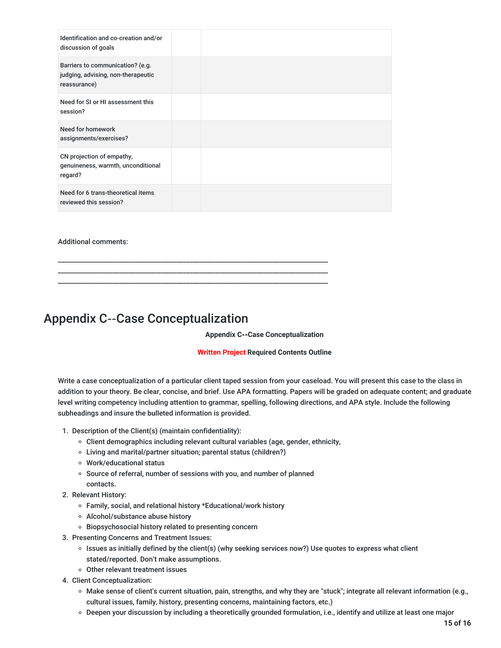| Identification and co-creation and/or<br>discussion of goals                           |  |
|----------------------------------------------------------------------------------------|--|
| Barriers to communication? (e.g.<br>judging, advising, non-therapeutic<br>reassurance) |  |
| Need for SI or HI assessment this<br>session?                                          |  |
| Need for homework<br>assignments/exercises?                                            |  |
| CN projection of empathy,<br>genuineness, warmth, unconditional<br>regard?             |  |
| Need for 6 trans-theoretical items<br>reviewed this session?                           |  |

#### Additional comments:

### Appendix C‐‐Case Conceptualization

#### **Appendix C‐‐Case Conceptualization**

#### **Written Project Required Contents Outline**

Write a case conceptualization of a particular client taped session from your caseload. You will present this case to the class in addition to your theory. Be clear, concise, and brief. Use APA formatting. Papers will be graded on adequate content; and graduate level writing competency including attention to grammar, spelling, following directions, and APA style. Include the following subheadings and insure the bulleted information is provided.

- 1. Description of the Client(s) (maintain confidentiality):
	- Client demographics including relevant cultural variables (age, gender, ethnicity,
	- Living and marital/partner situation; parental status (children?)
	- Work/educational status
	- o Source of referral, number of sessions with you, and number of planned contacts.

\_\_\_\_\_\_\_\_\_\_\_\_\_\_\_\_\_\_\_\_\_\_\_\_\_\_\_\_\_\_\_\_\_\_\_\_\_\_\_\_\_\_\_\_\_\_\_\_\_\_\_\_\_\_\_\_\_\_\_\_\_\_\_\_\_\_\_\_\_\_\_\_\_\_\_\_\_\_\_\_\_\_\_\_ \_\_\_\_\_\_\_\_\_\_\_\_\_\_\_\_\_\_\_\_\_\_\_\_\_\_\_\_\_\_\_\_\_\_\_\_\_\_\_\_\_\_\_\_\_\_\_\_\_\_\_\_\_\_\_\_\_\_\_\_\_\_\_\_\_\_\_\_\_\_\_\_\_\_\_\_\_\_\_\_\_\_\_\_ \_\_\_\_\_\_\_\_\_\_\_\_\_\_\_\_\_\_\_\_\_\_\_\_\_\_\_\_\_\_\_\_\_\_\_\_\_\_\_\_\_\_\_\_\_\_\_\_\_\_\_\_\_\_\_\_\_\_\_\_\_\_\_\_\_\_\_\_\_\_\_\_\_\_\_\_\_\_\_\_\_\_\_\_

- 2. Relevant History:
	- Family, social, and relational history \*Educational/work history
	- Alcohol/substance abuse history
	- o Biopsychosocial history related to presenting concern
- 3. Presenting Concerns and Treatment Issues:
	- $\circ$  Issues as initially defined by the client(s) (why seeking services now?) Use quotes to express what client stated/reported. Don't make assumptions.
	- Other relevant treatment issues
- 4. Client Conceptualization:
	- Make sense of client's current situation, pain, strengths, and why they are "stuck"; integrate all relevant information (e.g., cultural issues, family, history, presenting concerns, maintaining factors, etc.)
	- Deepen your discussion by including a theoretically grounded formulation, i.e., identify and utilize at least one major